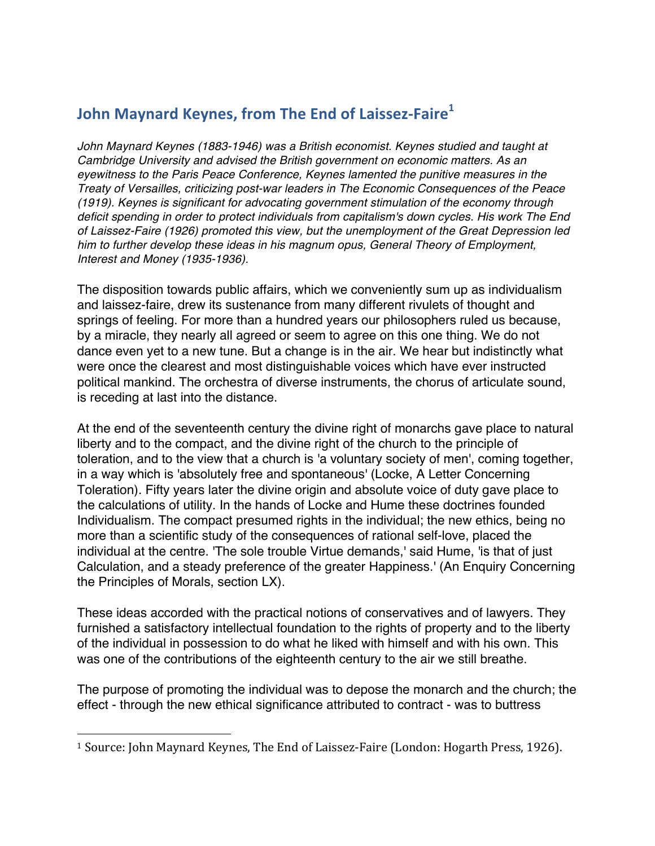## **John Maynard Keynes, from The End of Laissez-Faire**<sup>1</sup>

*John Maynard Keynes (1883-1946) was a British economist. Keynes studied and taught at Cambridge University and advised the British government on economic matters. As an eyewitness to the Paris Peace Conference, Keynes lamented the punitive measures in the Treaty of Versailles, criticizing post-war leaders in The Economic Consequences of the Peace (1919). Keynes is significant for advocating government stimulation of the economy through deficit spending in order to protect individuals from capitalism's down cycles. His work The End of Laissez-Faire (1926) promoted this view, but the unemployment of the Great Depression led him to further develop these ideas in his magnum opus, General Theory of Employment, Interest and Money (1935-1936).*

The disposition towards public affairs, which we conveniently sum up as individualism and laissez-faire, drew its sustenance from many different rivulets of thought and springs of feeling. For more than a hundred years our philosophers ruled us because, by a miracle, they nearly all agreed or seem to agree on this one thing. We do not dance even yet to a new tune. But a change is in the air. We hear but indistinctly what were once the clearest and most distinguishable voices which have ever instructed political mankind. The orchestra of diverse instruments, the chorus of articulate sound, is receding at last into the distance.

At the end of the seventeenth century the divine right of monarchs gave place to natural liberty and to the compact, and the divine right of the church to the principle of toleration, and to the view that a church is 'a voluntary society of men', coming together, in a way which is 'absolutely free and spontaneous' (Locke, A Letter Concerning Toleration). Fifty years later the divine origin and absolute voice of duty gave place to the calculations of utility. In the hands of Locke and Hume these doctrines founded Individualism. The compact presumed rights in the individual; the new ethics, being no more than a scientific study of the consequences of rational self-love, placed the individual at the centre. 'The sole trouble Virtue demands,' said Hume, 'is that of just Calculation, and a steady preference of the greater Happiness.' (An Enquiry Concerning the Principles of Morals, section LX).

These ideas accorded with the practical notions of conservatives and of lawyers. They furnished a satisfactory intellectual foundation to the rights of property and to the liberty of the individual in possession to do what he liked with himself and with his own. This was one of the contributions of the eighteenth century to the air we still breathe.

The purpose of promoting the individual was to depose the monarch and the church; the effect - through the new ethical significance attributed to contract - was to buttress

 

 $1$  Source: John Maynard Keynes, The End of Laissez-Faire (London: Hogarth Press, 1926).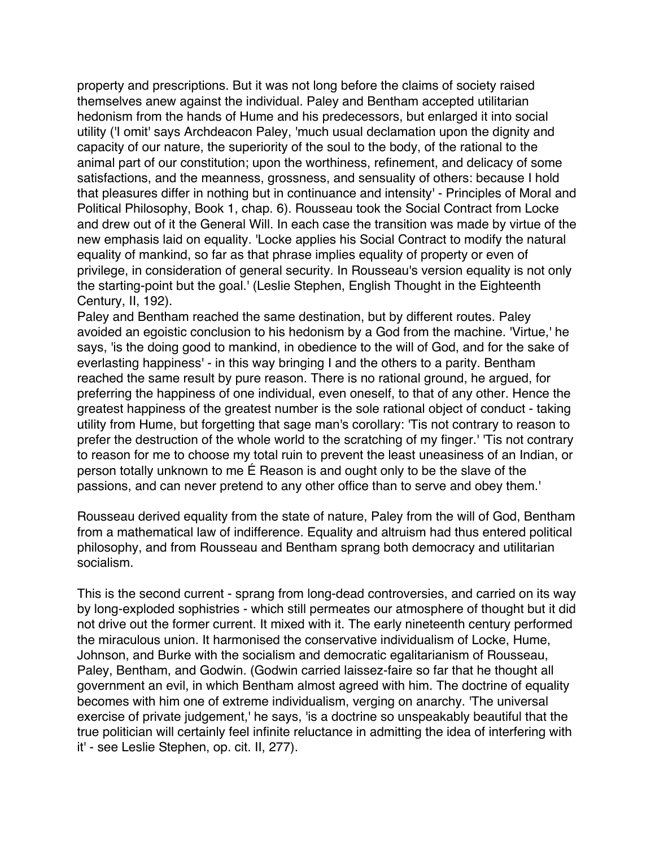property and prescriptions. But it was not long before the claims of society raised themselves anew against the individual. Paley and Bentham accepted utilitarian hedonism from the hands of Hume and his predecessors, but enlarged it into social utility ('I omit' says Archdeacon Paley, 'much usual declamation upon the dignity and capacity of our nature, the superiority of the soul to the body, of the rational to the animal part of our constitution; upon the worthiness, refinement, and delicacy of some satisfactions, and the meanness, grossness, and sensuality of others: because I hold that pleasures differ in nothing but in continuance and intensity' - Principles of Moral and Political Philosophy, Book 1, chap. 6). Rousseau took the Social Contract from Locke and drew out of it the General Will. In each case the transition was made by virtue of the new emphasis laid on equality. 'Locke applies his Social Contract to modify the natural equality of mankind, so far as that phrase implies equality of property or even of privilege, in consideration of general security. In Rousseau's version equality is not only the starting-point but the goal.' (Leslie Stephen, English Thought in the Eighteenth Century, II, 192).

Paley and Bentham reached the same destination, but by different routes. Paley avoided an egoistic conclusion to his hedonism by a God from the machine. 'Virtue,' he says, 'is the doing good to mankind, in obedience to the will of God, and for the sake of everlasting happiness' - in this way bringing I and the others to a parity. Bentham reached the same result by pure reason. There is no rational ground, he argued, for preferring the happiness of one individual, even oneself, to that of any other. Hence the greatest happiness of the greatest number is the sole rational object of conduct - taking utility from Hume, but forgetting that sage man's corollary: 'Tis not contrary to reason to prefer the destruction of the whole world to the scratching of my finger.' 'Tis not contrary to reason for me to choose my total ruin to prevent the least uneasiness of an Indian, or person totally unknown to me É Reason is and ought only to be the slave of the passions, and can never pretend to any other office than to serve and obey them.'

Rousseau derived equality from the state of nature, Paley from the will of God, Bentham from a mathematical law of indifference. Equality and altruism had thus entered political philosophy, and from Rousseau and Bentham sprang both democracy and utilitarian socialism.

This is the second current - sprang from long-dead controversies, and carried on its way by long-exploded sophistries - which still permeates our atmosphere of thought but it did not drive out the former current. It mixed with it. The early nineteenth century performed the miraculous union. It harmonised the conservative individualism of Locke, Hume, Johnson, and Burke with the socialism and democratic egalitarianism of Rousseau, Paley, Bentham, and Godwin. (Godwin carried laissez-faire so far that he thought all government an evil, in which Bentham almost agreed with him. The doctrine of equality becomes with him one of extreme individualism, verging on anarchy. 'The universal exercise of private judgement,' he says, 'is a doctrine so unspeakably beautiful that the true politician will certainly feel infinite reluctance in admitting the idea of interfering with it' - see Leslie Stephen, op. cit. II, 277).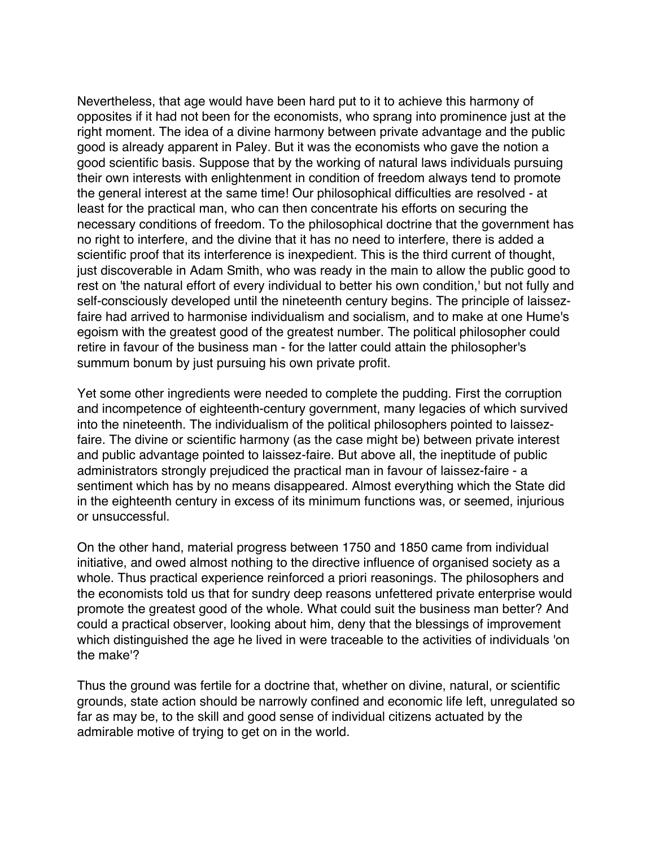Nevertheless, that age would have been hard put to it to achieve this harmony of opposites if it had not been for the economists, who sprang into prominence just at the right moment. The idea of a divine harmony between private advantage and the public good is already apparent in Paley. But it was the economists who gave the notion a good scientific basis. Suppose that by the working of natural laws individuals pursuing their own interests with enlightenment in condition of freedom always tend to promote the general interest at the same time! Our philosophical difficulties are resolved - at least for the practical man, who can then concentrate his efforts on securing the necessary conditions of freedom. To the philosophical doctrine that the government has no right to interfere, and the divine that it has no need to interfere, there is added a scientific proof that its interference is inexpedient. This is the third current of thought, just discoverable in Adam Smith, who was ready in the main to allow the public good to rest on 'the natural effort of every individual to better his own condition,' but not fully and self-consciously developed until the nineteenth century begins. The principle of laissezfaire had arrived to harmonise individualism and socialism, and to make at one Hume's egoism with the greatest good of the greatest number. The political philosopher could retire in favour of the business man - for the latter could attain the philosopher's summum bonum by just pursuing his own private profit.

Yet some other ingredients were needed to complete the pudding. First the corruption and incompetence of eighteenth-century government, many legacies of which survived into the nineteenth. The individualism of the political philosophers pointed to laissezfaire. The divine or scientific harmony (as the case might be) between private interest and public advantage pointed to laissez-faire. But above all, the ineptitude of public administrators strongly prejudiced the practical man in favour of laissez-faire - a sentiment which has by no means disappeared. Almost everything which the State did in the eighteenth century in excess of its minimum functions was, or seemed, injurious or unsuccessful.

On the other hand, material progress between 1750 and 1850 came from individual initiative, and owed almost nothing to the directive influence of organised society as a whole. Thus practical experience reinforced a priori reasonings. The philosophers and the economists told us that for sundry deep reasons unfettered private enterprise would promote the greatest good of the whole. What could suit the business man better? And could a practical observer, looking about him, deny that the blessings of improvement which distinguished the age he lived in were traceable to the activities of individuals 'on the make'?

Thus the ground was fertile for a doctrine that, whether on divine, natural, or scientific grounds, state action should be narrowly confined and economic life left, unregulated so far as may be, to the skill and good sense of individual citizens actuated by the admirable motive of trying to get on in the world.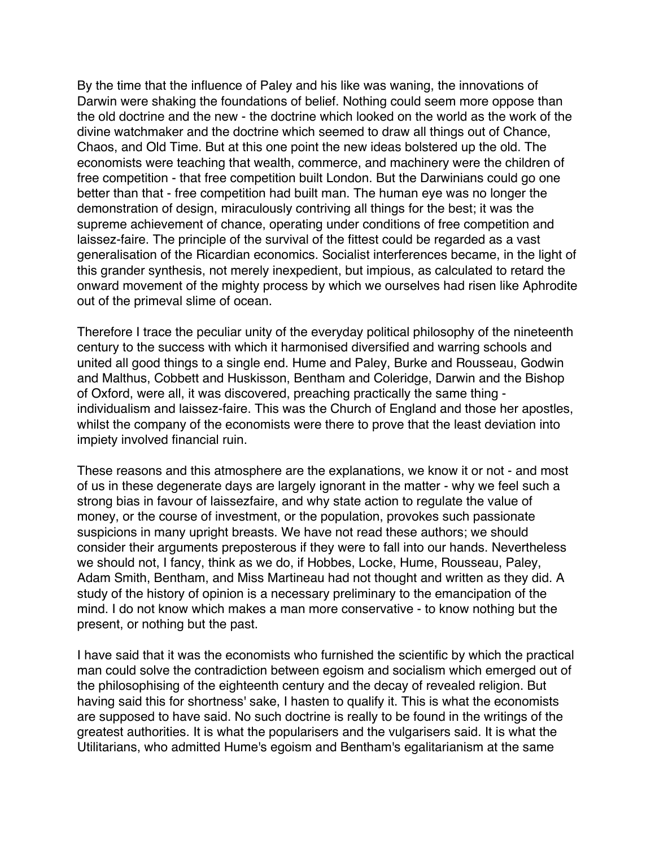By the time that the influence of Paley and his like was waning, the innovations of Darwin were shaking the foundations of belief. Nothing could seem more oppose than the old doctrine and the new - the doctrine which looked on the world as the work of the divine watchmaker and the doctrine which seemed to draw all things out of Chance, Chaos, and Old Time. But at this one point the new ideas bolstered up the old. The economists were teaching that wealth, commerce, and machinery were the children of free competition - that free competition built London. But the Darwinians could go one better than that - free competition had built man. The human eye was no longer the demonstration of design, miraculously contriving all things for the best; it was the supreme achievement of chance, operating under conditions of free competition and laissez-faire. The principle of the survival of the fittest could be regarded as a vast generalisation of the Ricardian economics. Socialist interferences became, in the light of this grander synthesis, not merely inexpedient, but impious, as calculated to retard the onward movement of the mighty process by which we ourselves had risen like Aphrodite out of the primeval slime of ocean.

Therefore I trace the peculiar unity of the everyday political philosophy of the nineteenth century to the success with which it harmonised diversified and warring schools and united all good things to a single end. Hume and Paley, Burke and Rousseau, Godwin and Malthus, Cobbett and Huskisson, Bentham and Coleridge, Darwin and the Bishop of Oxford, were all, it was discovered, preaching practically the same thing individualism and laissez-faire. This was the Church of England and those her apostles, whilst the company of the economists were there to prove that the least deviation into impiety involved financial ruin.

These reasons and this atmosphere are the explanations, we know it or not - and most of us in these degenerate days are largely ignorant in the matter - why we feel such a strong bias in favour of laissezfaire, and why state action to regulate the value of money, or the course of investment, or the population, provokes such passionate suspicions in many upright breasts. We have not read these authors; we should consider their arguments preposterous if they were to fall into our hands. Nevertheless we should not, I fancy, think as we do, if Hobbes, Locke, Hume, Rousseau, Paley, Adam Smith, Bentham, and Miss Martineau had not thought and written as they did. A study of the history of opinion is a necessary preliminary to the emancipation of the mind. I do not know which makes a man more conservative - to know nothing but the present, or nothing but the past.

I have said that it was the economists who furnished the scientific by which the practical man could solve the contradiction between egoism and socialism which emerged out of the philosophising of the eighteenth century and the decay of revealed religion. But having said this for shortness' sake, I hasten to qualify it. This is what the economists are supposed to have said. No such doctrine is really to be found in the writings of the greatest authorities. It is what the popularisers and the vulgarisers said. It is what the Utilitarians, who admitted Hume's egoism and Bentham's egalitarianism at the same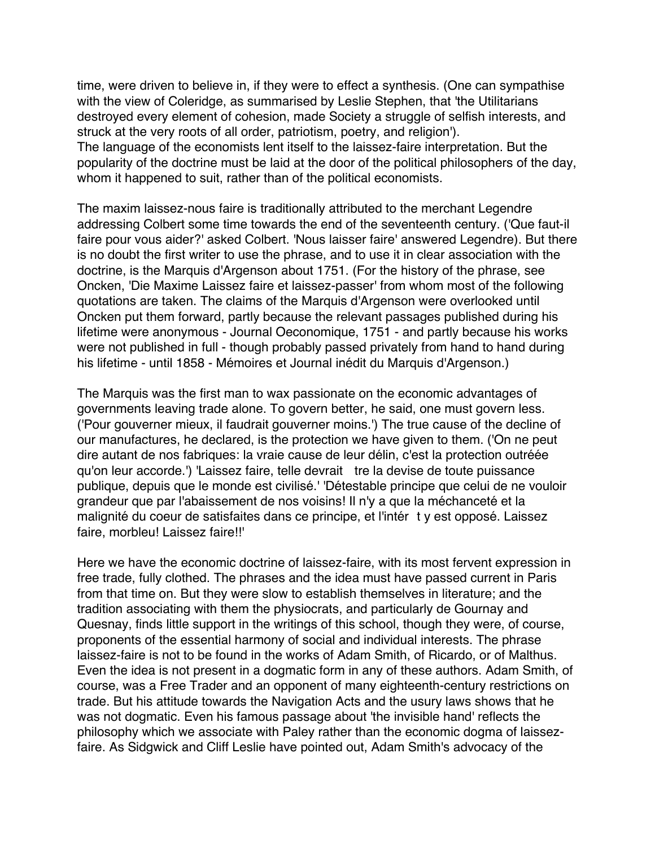time, were driven to believe in, if they were to effect a synthesis. (One can sympathise with the view of Coleridge, as summarised by Leslie Stephen, that 'the Utilitarians destroyed every element of cohesion, made Society a struggle of selfish interests, and struck at the very roots of all order, patriotism, poetry, and religion'). The language of the economists lent itself to the laissez-faire interpretation. But the popularity of the doctrine must be laid at the door of the political philosophers of the day, whom it happened to suit, rather than of the political economists.

The maxim laissez-nous faire is traditionally attributed to the merchant Legendre addressing Colbert some time towards the end of the seventeenth century. ('Que faut-il faire pour vous aider?' asked Colbert. 'Nous laisser faire' answered Legendre). But there is no doubt the first writer to use the phrase, and to use it in clear association with the doctrine, is the Marquis d'Argenson about 1751. (For the history of the phrase, see Oncken, 'Die Maxime Laissez faire et laissez-passer' from whom most of the following quotations are taken. The claims of the Marquis d'Argenson were overlooked until Oncken put them forward, partly because the relevant passages published during his lifetime were anonymous - Journal Oeconomique, 1751 - and partly because his works were not published in full - though probably passed privately from hand to hand during his lifetime - until 1858 - Mémoires et Journal inédit du Marquis d'Argenson.)

The Marquis was the first man to wax passionate on the economic advantages of governments leaving trade alone. To govern better, he said, one must govern less. ('Pour gouverner mieux, il faudrait gouverner moins.') The true cause of the decline of our manufactures, he declared, is the protection we have given to them. ('On ne peut dire autant de nos fabriques: la vraie cause de leur délin, c'est la protection outréée qu'on leur accorde.') 'Laissez faire, telle devrait tre la devise de toute puissance publique, depuis que le monde est civilisé.' 'Détestable principe que celui de ne vouloir grandeur que par l'abaissement de nos voisins! Il n'y a que la méchanceté et la malignité du coeur de satisfaites dans ce principe, et l'intér t y est opposé. Laissez faire, morbleu! Laissez faire!!'

Here we have the economic doctrine of laissez-faire, with its most fervent expression in free trade, fully clothed. The phrases and the idea must have passed current in Paris from that time on. But they were slow to establish themselves in literature; and the tradition associating with them the physiocrats, and particularly de Gournay and Quesnay, finds little support in the writings of this school, though they were, of course, proponents of the essential harmony of social and individual interests. The phrase laissez-faire is not to be found in the works of Adam Smith, of Ricardo, or of Malthus. Even the idea is not present in a dogmatic form in any of these authors. Adam Smith, of course, was a Free Trader and an opponent of many eighteenth-century restrictions on trade. But his attitude towards the Navigation Acts and the usury laws shows that he was not dogmatic. Even his famous passage about 'the invisible hand' reflects the philosophy which we associate with Paley rather than the economic dogma of laissezfaire. As Sidgwick and Cliff Leslie have pointed out, Adam Smith's advocacy of the